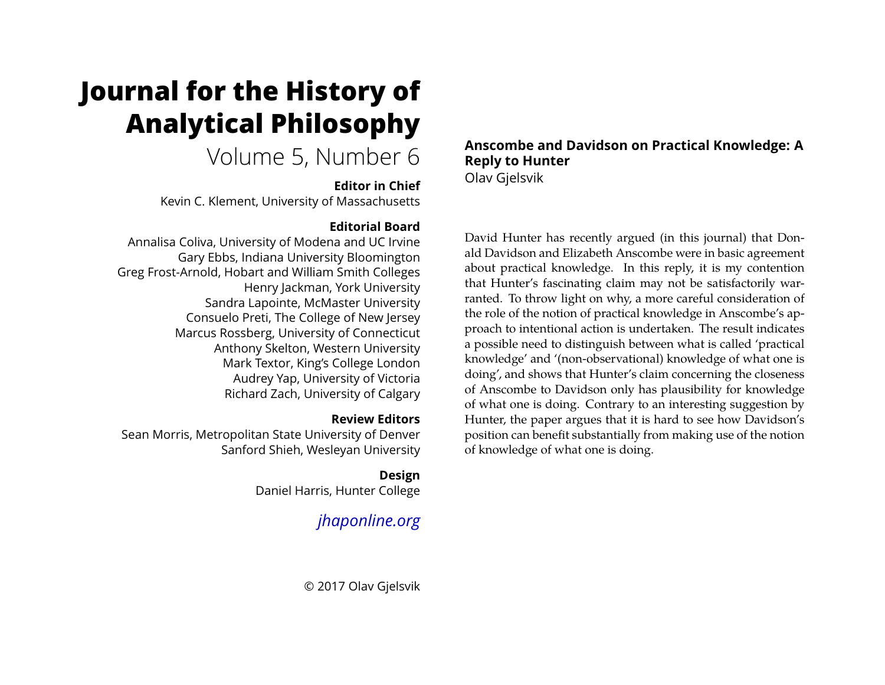# **Journal for the History of Analytical Philosophy**

# Volume 5, Number 6

### **Editor in Chief**

Kevin C. Klement, University of Massachusetts

# **Editorial Board**

Annalisa Coliva, University of Modena and UC Irvine Gary Ebbs, Indiana University Bloomington Greg Frost-Arnold, Hobart and William Smith Colleges Henry Jackman, York University Sandra Lapointe, McMaster University Consuelo Preti, The College of New Jersey Marcus Rossberg, University of Connecticut Anthony Skelton, Western University Mark Textor, King's College London Audrey Yap, University of Victoria Richard Zach, University of Calgary

# **Review Editors**

Sean Morris, Metropolitan State University of Denver Sanford Shieh, Wesleyan University

> **Design** Daniel Harris, Hunter College

# *[jhaponline.org](https://jhaponline.org)*

© 2017 Olav Gjelsvik

### **Anscombe and Davidson on Practical Knowledge: A Reply to Hunter** Olav Gjelsvik

David Hunter has recently argued (in this journal) that Donald Davidson and Elizabeth Anscombe were in basic agreement about practical knowledge. In this reply, it is my contention that Hunter's fascinating claim may not be satisfactorily warranted. To throw light on why, a more careful consideration of the role of the notion of practical knowledge in Anscombe's approach to intentional action is undertaken. The result indicates a possible need to distinguish between what is called 'practical knowledge' and '(non-observational) knowledge of what one is doing', and shows that Hunter's claim concerning the closeness of Anscombe to Davidson only has plausibility for knowledge of what one is doing. Contrary to an interesting suggestion by Hunter, the paper argues that it is hard to see how Davidson's position can benefit substantially from making use of the notion of knowledge of what one is doing.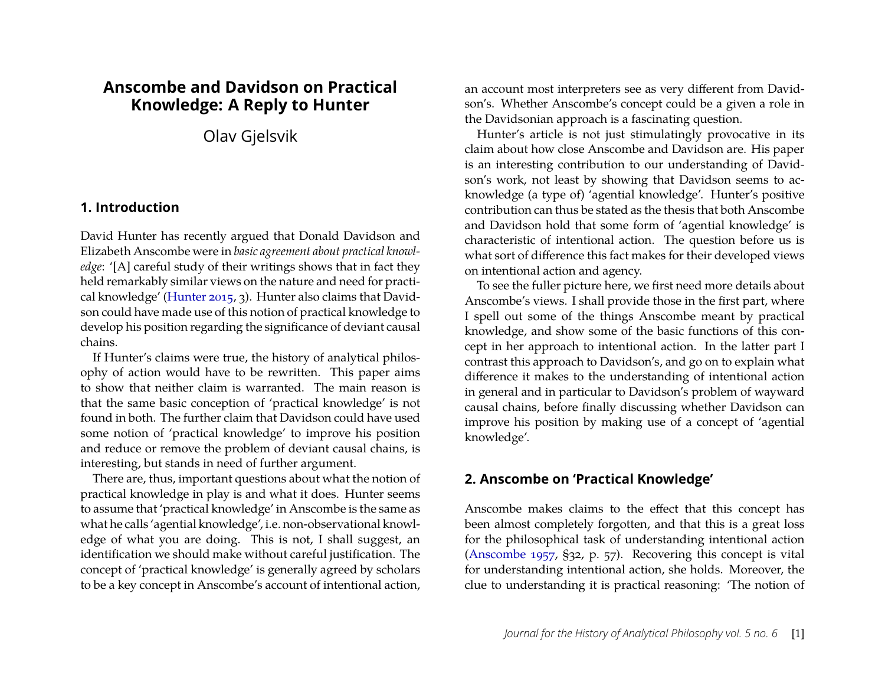# **Anscombe and Davidson on Practical Knowledge: A Reply to Hunter**

Olav Gjelsvik

#### **1. Introduction**

David Hunter has recently argued that Donald Davidson and Elizabeth Anscombe were in *basic agreement about practical knowledge*: '[A] careful study of their writings shows that in fact they held remarkably similar views on the nature and need for practical knowledge' [\(Hunter 2015,](#page-11-0) 3). Hunter also claims that Davidson could have made use of this notion of practical knowledge to develop his position regarding the significance of deviant causal chains.

If Hunter's claims were true, the history of analytical philosophy of action would have to be rewritten. This paper aims to show that neither claim is warranted. The main reason is that the same basic conception of 'practical knowledge' is not found in both. The further claim that Davidson could have used some notion of 'practical knowledge' to improve his position and reduce or remove the problem of deviant causal chains, is interesting, but stands in need of further argument.

There are, thus, important questions about what the notion of practical knowledge in play is and what it does. Hunter seems to assume that 'practical knowledge' in Anscombe is the same as what he calls 'agential knowledge', i.e. non-observational knowledge of what you are doing. This is not, I shall suggest, an identification we should make without careful justification. The concept of 'practical knowledge' is generally agreed by scholars to be a key concept in Anscombe's account of intentional action, an account most interpreters see as very different from Davidson's. Whether Anscombe's concept could be a given a role in the Davidsonian approach is a fascinating question.

Hunter's article is not just stimulatingly provocative in its claim about how close Anscombe and Davidson are. His paper is an interesting contribution to our understanding of Davidson's work, not least by showing that Davidson seems to acknowledge (a type of) 'agential knowledge'. Hunter's positive contribution can thus be stated as the thesis that both Anscombe and Davidson hold that some form of 'agential knowledge' is characteristic of intentional action. The question before us is what sort of difference this fact makes for their developed views on intentional action and agency.

To see the fuller picture here, we first need more details about Anscombe's views. I shall provide those in the first part, where I spell out some of the things Anscombe meant by practical knowledge, and show some of the basic functions of this concept in her approach to intentional action. In the latter part I contrast this approach to Davidson's, and go on to explain what difference it makes to the understanding of intentional action in general and in particular to Davidson's problem of wayward causal chains, before finally discussing whether Davidson can improve his position by making use of a concept of 'agential knowledge'.

#### **2. Anscombe on 'Practical Knowledge'**

Anscombe makes claims to the effect that this concept has been almost completely forgotten, and that this is a great loss for the philosophical task of understanding intentional action [\(Anscombe 1957,](#page-11-1) §32, p. 57). Recovering this concept is vital for understanding intentional action, she holds. Moreover, the clue to understanding it is practical reasoning: 'The notion of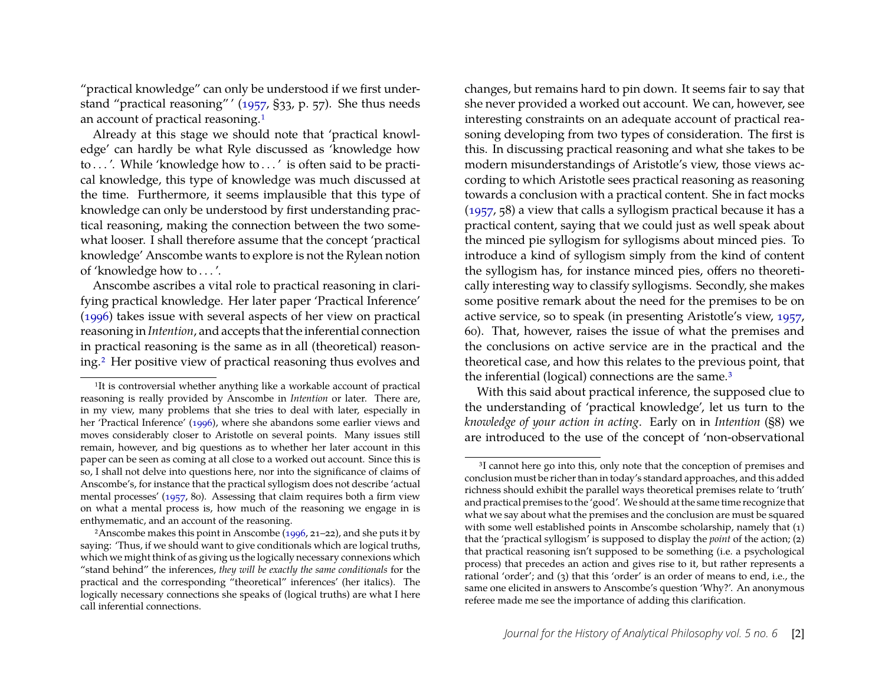"practical knowledge" can only be understood if we first understand "practical reasoning" ' [\(1957,](#page-11-1) §33, p. 57). She thus needs an account of practical reasoning.[1](#page-2-0)

Already at this stage we should note that 'practical knowledge' can hardly be what Ryle discussed as 'knowledge how to . . . '. While 'knowledge how to . . . ' is often said to be practical knowledge, this type of knowledge was much discussed at the time. Furthermore, it seems implausible that this type of knowledge can only be understood by first understanding practical reasoning, making the connection between the two somewhat looser. I shall therefore assume that the concept 'practical knowledge' Anscombe wants to explore is not the Rylean notion of 'knowledge how to . . . '.

Anscombe ascribes a vital role to practical reasoning in clarifying practical knowledge. Her later paper 'Practical Inference' [\(1996\)](#page-11-2) takes issue with several aspects of her view on practical reasoning in *Intention*, and accepts that the inferential connection in practical reasoning is the same as in all (theoretical) reasoning.[2](#page-2-1) Her positive view of practical reasoning thus evolves and

changes, but remains hard to pin down. It seems fair to say that she never provided a worked out account. We can, however, see interesting constraints on an adequate account of practical reasoning developing from two types of consideration. The first is this. In discussing practical reasoning and what she takes to be modern misunderstandings of Aristotle's view, those views according to which Aristotle sees practical reasoning as reasoning towards a conclusion with a practical content. She in fact mocks [\(1957,](#page-11-1) 58) a view that calls a syllogism practical because it has a practical content, saying that we could just as well speak about the minced pie syllogism for syllogisms about minced pies. To introduce a kind of syllogism simply from the kind of content the syllogism has, for instance minced pies, offers no theoretically interesting way to classify syllogisms. Secondly, she makes some positive remark about the need for the premises to be on active service, so to speak (in presenting Aristotle's view, [1957,](#page-11-1) 60). That, however, raises the issue of what the premises and the conclusions on active service are in the practical and the theoretical case, and how this relates to the previous point, that the inferential (logical) connections are the same.<sup>[3](#page-2-2)</sup>

With this said about practical inference, the supposed clue to the understanding of 'practical knowledge', let us turn to the *knowledge of your action in acting*. Early on in *Intention* (§8) we are introduced to the use of the concept of 'non-observational

<span id="page-2-0"></span><sup>&</sup>lt;sup>1</sup>It is controversial whether anything like a workable account of practical reasoning is really provided by Anscombe in *Intention* or later. There are, in my view, many problems that she tries to deal with later, especially in her 'Practical Inference' [\(1996\)](#page-11-2), where she abandons some earlier views and moves considerably closer to Aristotle on several points. Many issues still remain, however, and big questions as to whether her later account in this paper can be seen as coming at all close to a worked out account. Since this is so, I shall not delve into questions here, nor into the significance of claims of Anscombe's, for instance that the practical syllogism does not describe 'actual mental processes' [\(1957,](#page-11-1) 80). Assessing that claim requires both a firm view on what a mental process is, how much of the reasoning we engage in is enthymematic, and an account of the reasoning.

<span id="page-2-1"></span><sup>&</sup>lt;sup>2</sup>Anscombe makes this point in Anscombe  $(1996, 21–22)$ , and she puts it by saying: 'Thus, if we should want to give conditionals which are logical truths, which we might think of as giving us the logically necessary connexions which "stand behind" the inferences, *they will be exactly the same conditionals* for the practical and the corresponding "theoretical" inferences' (her italics). The logically necessary connections she speaks of (logical truths) are what I here call inferential connections.

<span id="page-2-2"></span><sup>&</sup>lt;sup>3</sup>I cannot here go into this, only note that the conception of premises and conclusion must be richer than in today's standard approaches, and this added richness should exhibit the parallel ways theoretical premises relate to 'truth' and practical premises to the 'good'. We should at the same time recognize that what we say about what the premises and the conclusion are must be squared with some well established points in Anscombe scholarship, namely that (1) that the 'practical syllogism' is supposed to display the *point* of the action; (2) that practical reasoning isn't supposed to be something (i.e. a psychological process) that precedes an action and gives rise to it, but rather represents a rational 'order'; and (3) that this 'order' is an order of means to end, i.e., the same one elicited in answers to Anscombe's question 'Why?'. An anonymous referee made me see the importance of adding this clarification.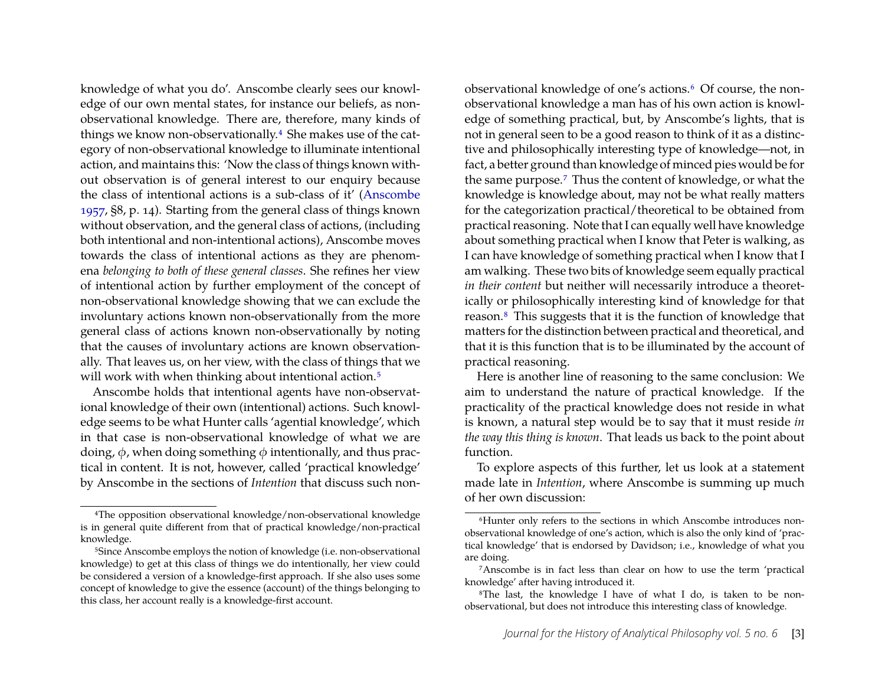knowledge of what you do'. Anscombe clearly sees our knowledge of our own mental states, for instance our beliefs, as nonobservational knowledge. There are, therefore, many kinds of things we know non-observationally[.4](#page-3-0) She makes use of the category of non-observational knowledge to illuminate intentional action, and maintains this: 'Now the class of things known without observation is of general interest to our enquiry because the class of intentional actions is a sub-class of it' [\(Anscombe](#page-11-1) [1957,](#page-11-1) §8, p. 14). Starting from the general class of things known without observation, and the general class of actions, (including both intentional and non-intentional actions), Anscombe moves towards the class of intentional actions as they are phenomena *belonging to both of these general classes*. She refines her view of intentional action by further employment of the concept of non-observational knowledge showing that we can exclude the involuntary actions known non-observationally from the more general class of actions known non-observationally by noting that the causes of involuntary actions are known observationally. That leaves us, on her view, with the class of things that we will work with when thinking about intentional action.<sup>5</sup>

Anscombe holds that intentional agents have non-observational knowledge of their own (intentional) actions. Such knowledge seems to be what Hunter calls 'agential knowledge', which in that case is non-observational knowledge of what we are doing,  $φ$ , when doing something  $φ$  intentionally, and thus practical in content. It is not, however, called 'practical knowledge' by Anscombe in the sections of *Intention* that discuss such non-

observational knowledge of one's actions[.6](#page-3-2) Of course, the nonobservational knowledge a man has of his own action is knowledge of something practical, but, by Anscombe's lights, that is not in general seen to be a good reason to think of it as a distinctive and philosophically interesting type of knowledge—not, in fact, a better ground than knowledge of minced pies would be for the same purpose[.7](#page-3-3) Thus the content of knowledge, or what the knowledge is knowledge about, may not be what really matters for the categorization practical/theoretical to be obtained from practical reasoning. Note that I can equally well have knowledge about something practical when I know that Peter is walking, as I can have knowledge of something practical when I know that I am walking. These two bits of knowledge seem equally practical *in their content* but neither will necessarily introduce a theoretically or philosophically interesting kind of knowledge for that reason[.8](#page-3-4) This suggests that it is the function of knowledge that matters for the distinction between practical and theoretical, and that it is this function that is to be illuminated by the account of practical reasoning.

Here is another line of reasoning to the same conclusion: We aim to understand the nature of practical knowledge. If the practicality of the practical knowledge does not reside in what is known, a natural step would be to say that it must reside *in the way this thing is known*. That leads us back to the point about function.

To explore aspects of this further, let us look at a statement made late in *Intention*, where Anscombe is summing up much of her own discussion:

<span id="page-3-0"></span><sup>4</sup>The opposition observational knowledge/non-observational knowledge is in general quite different from that of practical knowledge/non-practical knowledge.

<span id="page-3-1"></span><sup>&</sup>lt;sup>5</sup>Since Anscombe employs the notion of knowledge (i.e. non-observational knowledge) to get at this class of things we do intentionally, her view could be considered a version of a knowledge-first approach. If she also uses some concept of knowledge to give the essence (account) of the things belonging to this class, her account really is a knowledge-first account.

<span id="page-3-2"></span><sup>&</sup>lt;sup>6</sup>Hunter only refers to the sections in which Anscombe introduces nonobservational knowledge of one's action, which is also the only kind of 'practical knowledge' that is endorsed by Davidson; i.e., knowledge of what you are doing.

<span id="page-3-3"></span><sup>7</sup>Anscombe is in fact less than clear on how to use the term 'practical knowledge' after having introduced it.

<span id="page-3-4"></span><sup>8</sup>The last, the knowledge I have of what I do, is taken to be nonobservational, but does not introduce this interesting class of knowledge.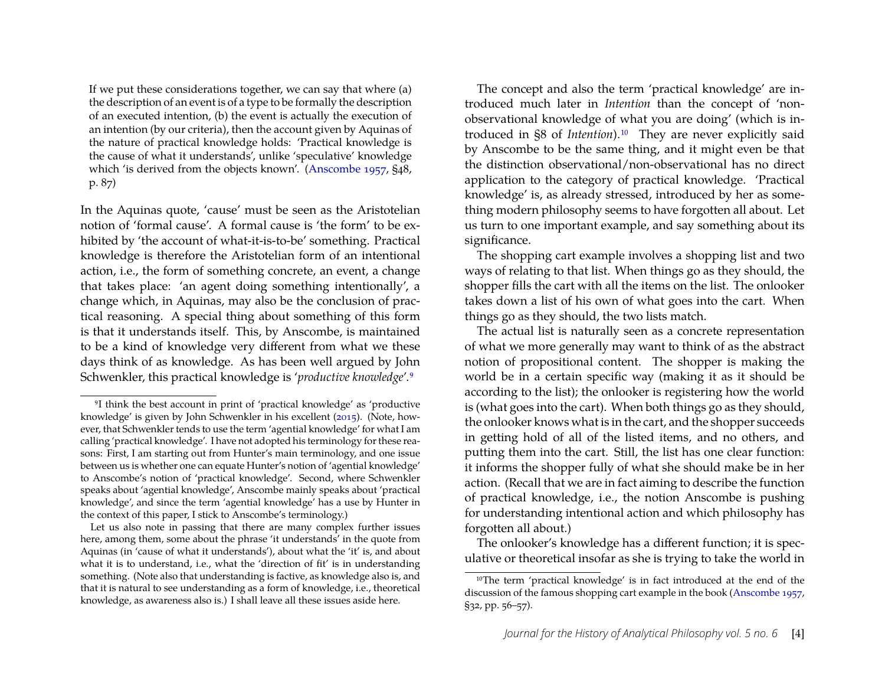If we put these considerations together, we can say that where (a) the description of an event is of a type to be formally the description of an executed intention, (b) the event is actually the execution of an intention (by our criteria), then the account given by Aquinas of the nature of practical knowledge holds: 'Practical knowledge is the cause of what it understands', unlike 'speculative' knowledge which 'is derived from the objects known'. [\(Anscombe 1957,](#page-11-1) §48, p. 87)

In the Aquinas quote, 'cause' must be seen as the Aristotelian notion of 'formal cause'. A formal cause is 'the form' to be exhibited by 'the account of what-it-is-to-be' something. Practical knowledge is therefore the Aristotelian form of an intentional action, i.e., the form of something concrete, an event, a change that takes place: 'an agent doing something intentionally', a change which, in Aquinas, may also be the conclusion of practical reasoning. A special thing about something of this form is that it understands itself. This, by Anscombe, is maintained to be a kind of knowledge very different from what we these days think of as knowledge. As has been well argued by John Schwenkler, this practical knowledge is '*productive knowledge*'[.9](#page-4-0)

The concept and also the term 'practical knowledge' are introduced much later in *Intention* than the concept of 'nonobservational knowledge of what you are doing' (which is introduced in §8 of *Intention*).[10](#page-4-1) They are never explicitly said by Anscombe to be the same thing, and it might even be that the distinction observational/non-observational has no direct application to the category of practical knowledge. 'Practical knowledge' is, as already stressed, introduced by her as something modern philosophy seems to have forgotten all about. Let us turn to one important example, and say something about its significance.

The shopping cart example involves a shopping list and two ways of relating to that list. When things go as they should, the shopper fills the cart with all the items on the list. The onlooker takes down a list of his own of what goes into the cart. When things go as they should, the two lists match.

The actual list is naturally seen as a concrete representation of what we more generally may want to think of as the abstract notion of propositional content. The shopper is making the world be in a certain specific way (making it as it should be according to the list); the onlooker is registering how the world is (what goes into the cart). When both things go as they should, the onlooker knows what is in the cart, and the shopper succeeds in getting hold of all of the listed items, and no others, and putting them into the cart. Still, the list has one clear function: it informs the shopper fully of what she should make be in her action. (Recall that we are in fact aiming to describe the function of practical knowledge, i.e., the notion Anscombe is pushing for understanding intentional action and which philosophy has forgotten all about.)

The onlooker's knowledge has a different function; it is speculative or theoretical insofar as she is trying to take the world in

<span id="page-4-0"></span><sup>9</sup>I think the best account in print of 'practical knowledge' as 'productive knowledge' is given by John Schwenkler in his excellent [\(2015\)](#page-11-3). (Note, however, that Schwenkler tends to use the term 'agential knowledge' for what I am calling 'practical knowledge'. I have not adopted his terminology for these reasons: First, I am starting out from Hunter's main terminology, and one issue between us is whether one can equate Hunter's notion of 'agential knowledge' to Anscombe's notion of 'practical knowledge'. Second, where Schwenkler speaks about 'agential knowledge', Anscombe mainly speaks about 'practical knowledge', and since the term 'agential knowledge' has a use by Hunter in the context of this paper, I stick to Anscombe's terminology.)

Let us also note in passing that there are many complex further issues here, among them, some about the phrase 'it understands' in the quote from Aquinas (in 'cause of what it understands'), about what the 'it' is, and about what it is to understand, i.e., what the 'direction of fit' is in understanding something. (Note also that understanding is factive, as knowledge also is, and that it is natural to see understanding as a form of knowledge, i.e., theoretical knowledge, as awareness also is.) I shall leave all these issues aside here.

<span id="page-4-1"></span><sup>10</sup>The term 'practical knowledge' is in fact introduced at the end of the discussion of the famous shopping cart example in the book [\(Anscombe](#page-11-1) [1957,](#page-11-1) §32, pp. 56–57).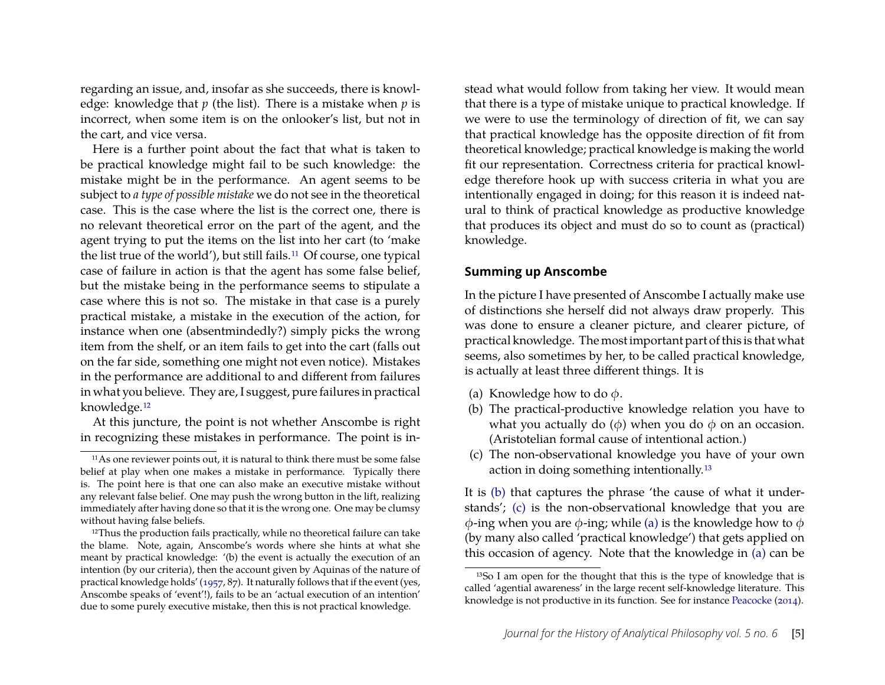regarding an issue, and, insofar as she succeeds, there is knowledge: knowledge that *p* (the list). There is a mistake when *p* is incorrect, when some item is on the onlooker's list, but not in the cart, and vice versa.

Here is a further point about the fact that what is taken to be practical knowledge might fail to be such knowledge: the mistake might be in the performance. An agent seems to be subject to *a type of possible mistake* we do not see in the theoretical case. This is the case where the list is the correct one, there is no relevant theoretical error on the part of the agent, and the agent trying to put the items on the list into her cart (to 'make the list true of the world'), but still fails.[11](#page-5-0) Of course, one typical case of failure in action is that the agent has some false belief, but the mistake being in the performance seems to stipulate a case where this is not so. The mistake in that case is a purely practical mistake, a mistake in the execution of the action, for instance when one (absentmindedly?) simply picks the wrong item from the shelf, or an item fails to get into the cart (falls out on the far side, something one might not even notice). Mistakes in the performance are additional to and different from failures in what you believe. They are, I suggest, pure failures in practical knowledge.[12](#page-5-1)

At this juncture, the point is not whether Anscombe is right in recognizing these mistakes in performance. The point is instead what would follow from taking her view. It would mean that there is a type of mistake unique to practical knowledge. If we were to use the terminology of direction of fit, we can say that practical knowledge has the opposite direction of fit from theoretical knowledge; practical knowledge is making the world fit our representation. Correctness criteria for practical knowledge therefore hook up with success criteria in what you are intentionally engaged in doing; for this reason it is indeed natural to think of practical knowledge as productive knowledge that produces its object and must do so to count as (practical) knowledge.

#### **Summing up Anscombe**

In the picture I have presented of Anscombe I actually make use of distinctions she herself did not always draw properly. This was done to ensure a cleaner picture, and clearer picture, of practical knowledge. The most important part of this is that what seems, also sometimes by her, to be called practical knowledge, is actually at least three different things. It is

- <span id="page-5-5"></span>(a) Knowledge how to do  $\phi$ .
- <span id="page-5-3"></span>(b) The practical-productive knowledge relation you have to what you actually do  $(\phi)$  when you do  $\phi$  on an occasion. (Aristotelian formal cause of intentional action.)
- <span id="page-5-4"></span>(c) The non-observational knowledge you have of your own action in doing something intentionally.[13](#page-5-2)

It is [\(b\)](#page-5-3) that captures the phrase 'the cause of what it understands'; [\(c\)](#page-5-4) is the non-observational knowledge that you are  $\phi$ -ing when you are  $\phi$ -ing; while [\(a\)](#page-5-5) is the knowledge how to  $\phi$ (by many also called 'practical knowledge') that gets applied on this occasion of agency. Note that the knowledge in [\(a\)](#page-5-5) can be

<span id="page-5-0"></span><sup>11</sup>As one reviewer points out, it is natural to think there must be some false belief at play when one makes a mistake in performance. Typically there is. The point here is that one can also make an executive mistake without any relevant false belief. One may push the wrong button in the lift, realizing immediately after having done so that it is the wrong one. One may be clumsy without having false beliefs.

<span id="page-5-1"></span><sup>&</sup>lt;sup>12</sup>Thus the production fails practically, while no theoretical failure can take the blame. Note, again, Anscombe's words where she hints at what she meant by practical knowledge: '(b) the event is actually the execution of an intention (by our criteria), then the account given by Aquinas of the nature of practical knowledge holds' [\(1957,](#page-11-1) 87). It naturally follows that if the event (yes, Anscombe speaks of 'event'!), fails to be an 'actual execution of an intention' due to some purely executive mistake, then this is not practical knowledge.

<span id="page-5-2"></span><sup>13</sup>So I am open for the thought that this is the type of knowledge that is called 'agential awareness' in the large recent self-knowledge literature. This knowledge is not productive in its function. See for instance [Peacocke](#page-11-4) ([2014\)](#page-11-4).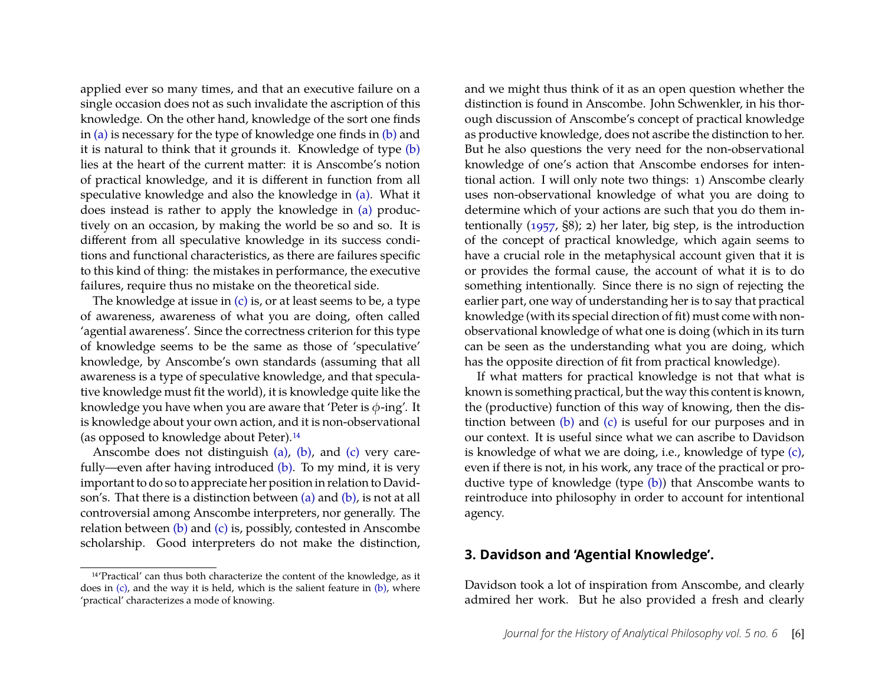applied ever so many times, and that an executive failure on a single occasion does not as such invalidate the ascription of this knowledge. On the other hand, knowledge of the sort one finds in [\(a\)](#page-5-5) is necessary for the type of knowledge one finds in [\(b\)](#page-5-3) and it is natural to think that it grounds it. Knowledge of type [\(b\)](#page-5-3) lies at the heart of the current matter: it is Anscombe's notion of practical knowledge, and it is different in function from all speculative knowledge and also the knowledge in [\(a\).](#page-5-5) What it does instead is rather to apply the knowledge in [\(a\)](#page-5-5) productively on an occasion, by making the world be so and so. It is different from all speculative knowledge in its success conditions and functional characteristics, as there are failures specific to this kind of thing: the mistakes in performance, the executive failures, require thus no mistake on the theoretical side.

The knowledge at issue in  $(c)$  is, or at least seems to be, a type of awareness, awareness of what you are doing, often called 'agential awareness'. Since the correctness criterion for this type of knowledge seems to be the same as those of 'speculative' knowledge, by Anscombe's own standards (assuming that all awareness is a type of speculative knowledge, and that speculative knowledge must fit the world), it is knowledge quite like the knowledge you have when you are aware that 'Peter is  $\phi$ -ing'. It is knowledge about your own action, and it is non-observational (as opposed to knowledge about Peter).[14](#page-6-0)

Anscombe does not distinguish [\(a\),](#page-5-5) [\(b\),](#page-5-3) and [\(c\)](#page-5-4) very carefully—even after having introduced [\(b\).](#page-5-3) To my mind, it is very important to do so to appreciate her position in relation to Davidson's. That there is a distinction between [\(a\)](#page-5-5) and [\(b\),](#page-5-3) is not at all controversial among Anscombe interpreters, nor generally. The relation between [\(b\)](#page-5-3) and [\(c\)](#page-5-4) is, possibly, contested in Anscombe scholarship. Good interpreters do not make the distinction,

and we might thus think of it as an open question whether the distinction is found in Anscombe. John Schwenkler, in his thorough discussion of Anscombe's concept of practical knowledge as productive knowledge, does not ascribe the distinction to her. But he also questions the very need for the non-observational knowledge of one's action that Anscombe endorses for intentional action. I will only note two things: 1) Anscombe clearly uses non-observational knowledge of what you are doing to determine which of your actions are such that you do them intentionally [\(1957,](#page-11-1) §8); 2) her later, big step, is the introduction of the concept of practical knowledge, which again seems to have a crucial role in the metaphysical account given that it is or provides the formal cause, the account of what it is to do something intentionally. Since there is no sign of rejecting the earlier part, one way of understanding her is to say that practical knowledge (with its special direction of fit) must come with nonobservational knowledge of what one is doing (which in its turn can be seen as the understanding what you are doing, which has the opposite direction of fit from practical knowledge).

If what matters for practical knowledge is not that what is known is something practical, but the way this content is known, the (productive) function of this way of knowing, then the distinction between [\(b\)](#page-5-3) and [\(c\)](#page-5-4) is useful for our purposes and in our context. It is useful since what we can ascribe to Davidson is knowledge of what we are doing, i.e., knowledge of type [\(c\),](#page-5-4) even if there is not, in his work, any trace of the practical or productive type of knowledge (type [\(b\)\)](#page-5-3) that Anscombe wants to reintroduce into philosophy in order to account for intentional agency.

#### **3. Davidson and 'Agential Knowledge'.**

Davidson took a lot of inspiration from Anscombe, and clearly admired her work. But he also provided a fresh and clearly

<span id="page-6-0"></span><sup>14</sup>'Practical' can thus both characterize the content of the knowledge, as it does in  $(c)$ , and the way it is held, which is the salient feature in  $(b)$ , where 'practical' characterizes a mode of knowing.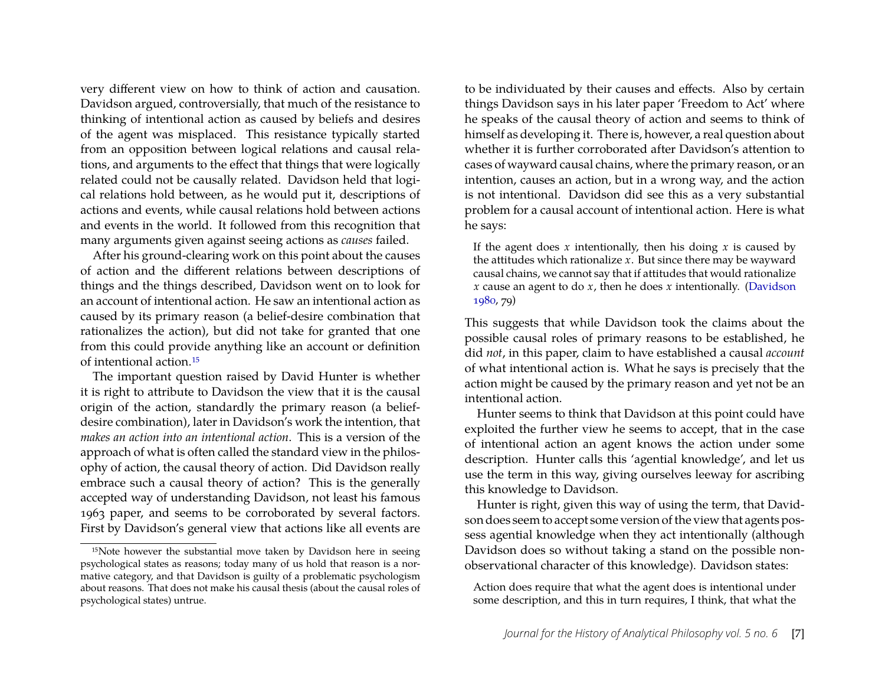very different view on how to think of action and causation. Davidson argued, controversially, that much of the resistance to thinking of intentional action as caused by beliefs and desires of the agent was misplaced. This resistance typically started from an opposition between logical relations and causal relations, and arguments to the effect that things that were logically related could not be causally related. Davidson held that logical relations hold between, as he would put it, descriptions of actions and events, while causal relations hold between actions and events in the world. It followed from this recognition that many arguments given against seeing actions as *causes* failed.

After his ground-clearing work on this point about the causes of action and the different relations between descriptions of things and the things described, Davidson went on to look for an account of intentional action. He saw an intentional action as caused by its primary reason (a belief-desire combination that rationalizes the action), but did not take for granted that one from this could provide anything like an account or definition of intentional action.[15](#page-7-0)

The important question raised by David Hunter is whether it is right to attribute to Davidson the view that it is the causal origin of the action, standardly the primary reason (a beliefdesire combination), later in Davidson's work the intention, that *makes an action into an intentional action*. This is a version of the approach of what is often called the standard view in the philosophy of action, the causal theory of action. Did Davidson really embrace such a causal theory of action? This is the generally accepted way of understanding Davidson, not least his famous 1963 paper, and seems to be corroborated by several factors. First by Davidson's general view that actions like all events are

to be individuated by their causes and effects. Also by certain things Davidson says in his later paper 'Freedom to Act' where he speaks of the causal theory of action and seems to think of himself as developing it. There is, however, a real question about whether it is further corroborated after Davidson's attention to cases of wayward causal chains, where the primary reason, or an intention, causes an action, but in a wrong way, and the action is not intentional. Davidson did see this as a very substantial problem for a causal account of intentional action. Here is what he says:

If the agent does *x* intentionally, then his doing *x* is caused by the attitudes which rationalize *x*. But since there may be wayward causal chains, we cannot say that if attitudes that would rationalize *x* cause an agent to do *x*, then he does *x* intentionally. [\(Davidson](#page-11-5) [1980,](#page-11-5) 79)

This suggests that while Davidson took the claims about the possible causal roles of primary reasons to be established, he did *not*, in this paper, claim to have established a causal *account* of what intentional action is. What he says is precisely that the action might be caused by the primary reason and yet not be an intentional action.

Hunter seems to think that Davidson at this point could have exploited the further view he seems to accept, that in the case of intentional action an agent knows the action under some description. Hunter calls this 'agential knowledge', and let us use the term in this way, giving ourselves leeway for ascribing this knowledge to Davidson.

Hunter is right, given this way of using the term, that Davidson does seem to accept some version of the view that agents possess agential knowledge when they act intentionally (although Davidson does so without taking a stand on the possible nonobservational character of this knowledge). Davidson states:

Action does require that what the agent does is intentional under some description, and this in turn requires, I think, that what the

<span id="page-7-0"></span><sup>&</sup>lt;sup>15</sup>Note however the substantial move taken by Davidson here in seeing psychological states as reasons; today many of us hold that reason is a normative category, and that Davidson is guilty of a problematic psychologism about reasons. That does not make his causal thesis (about the causal roles of psychological states) untrue.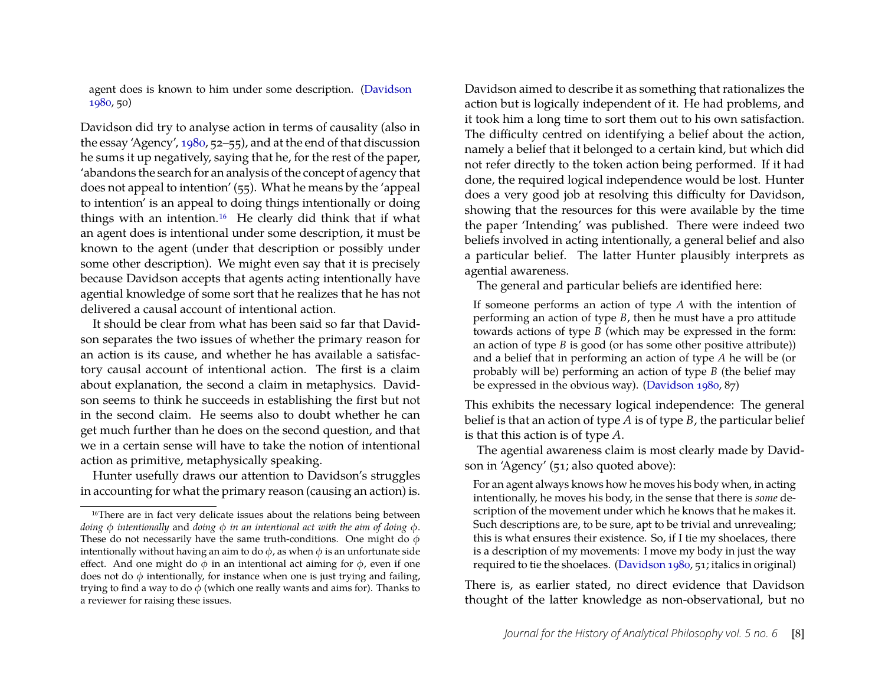agent does is known to him under some description. [\(Davidson](#page-11-5) [1980,](#page-11-5) 50)

Davidson did try to analyse action in terms of causality (also in the essay 'Agency', [1980,](#page-11-5) 52–55), and at the end of that discussion he sums it up negatively, saying that he, for the rest of the paper, 'abandons the search for an analysis of the concept of agency that does not appeal to intention' (55). What he means by the 'appeal to intention' is an appeal to doing things intentionally or doing things with an intention.[16](#page-8-0) He clearly did think that if what an agent does is intentional under some description, it must be known to the agent (under that description or possibly under some other description). We might even say that it is precisely because Davidson accepts that agents acting intentionally have agential knowledge of some sort that he realizes that he has not delivered a causal account of intentional action.

It should be clear from what has been said so far that Davidson separates the two issues of whether the primary reason for an action is its cause, and whether he has available a satisfactory causal account of intentional action. The first is a claim about explanation, the second a claim in metaphysics. Davidson seems to think he succeeds in establishing the first but not in the second claim. He seems also to doubt whether he can get much further than he does on the second question, and that we in a certain sense will have to take the notion of intentional action as primitive, metaphysically speaking.

Hunter usefully draws our attention to Davidson's struggles in accounting for what the primary reason (causing an action) is.

Davidson aimed to describe it as something that rationalizes the action but is logically independent of it. He had problems, and it took him a long time to sort them out to his own satisfaction. The difficulty centred on identifying a belief about the action, namely a belief that it belonged to a certain kind, but which did not refer directly to the token action being performed. If it had done, the required logical independence would be lost. Hunter does a very good job at resolving this difficulty for Davidson, showing that the resources for this were available by the time the paper 'Intending' was published. There were indeed two beliefs involved in acting intentionally, a general belief and also a particular belief. The latter Hunter plausibly interprets as agential awareness.

The general and particular beliefs are identified here:

If someone performs an action of type *A* with the intention of performing an action of type *B*, then he must have a pro attitude towards actions of type *B* (which may be expressed in the form: an action of type *B* is good (or has some other positive attribute)) and a belief that in performing an action of type *A* he will be (or probably will be) performing an action of type *B* (the belief may be expressed in the obvious way). [\(Davidson 1980,](#page-11-5) 87)

This exhibits the necessary logical independence: The general belief is that an action of type *A* is of type *B*, the particular belief is that this action is of type *A*.

The agential awareness claim is most clearly made by Davidson in 'Agency' (51; also quoted above):

For an agent always knows how he moves his body when, in acting intentionally, he moves his body, in the sense that there is *some* description of the movement under which he knows that he makes it. Such descriptions are, to be sure, apt to be trivial and unrevealing; this is what ensures their existence. So, if I tie my shoelaces, there is a description of my movements: I move my body in just the way required to tie the shoelaces. [\(Davidson 1980,](#page-11-5) 51; italics in original)

There is, as earlier stated, no direct evidence that Davidson thought of the latter knowledge as non-observational, but no

<span id="page-8-0"></span><sup>&</sup>lt;sup>16</sup>There are in fact very delicate issues about the relations being between *doing* φ *intentionally* and *doing* φ *in an intentional act with the aim of doing* φ. These do not necessarily have the same truth-conditions. One might do  $\phi$ intentionally without having an aim to do  $\phi$ , as when  $\phi$  is an unfortunate side effect. And one might do  $\phi$  in an intentional act aiming for  $\phi$ , even if one does not do  $\phi$  intentionally, for instance when one is just trying and failing, trying to find a way to do  $\phi$  (which one really wants and aims for). Thanks to a reviewer for raising these issues.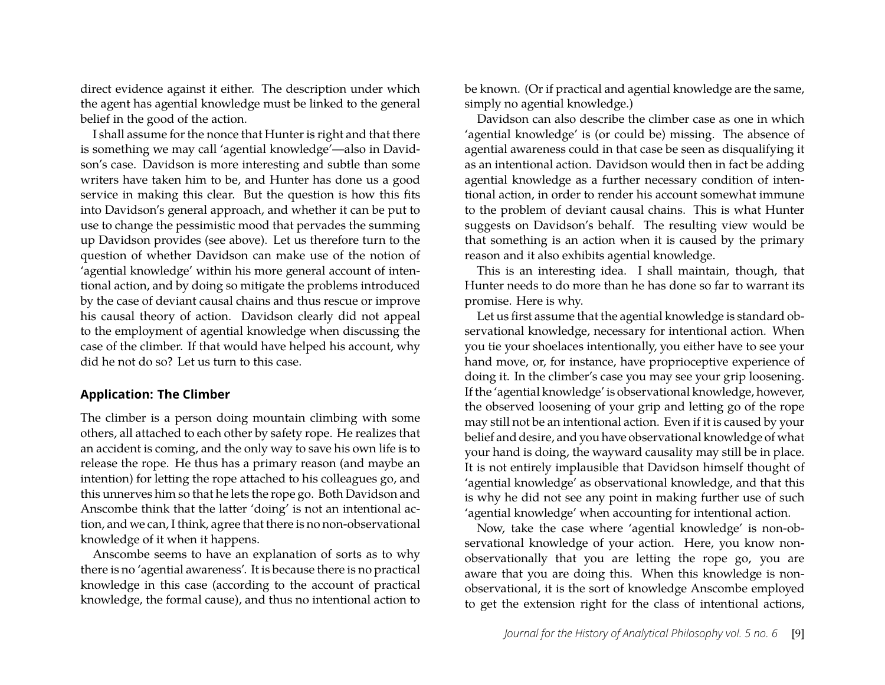direct evidence against it either. The description under which the agent has agential knowledge must be linked to the general belief in the good of the action.

I shall assume for the nonce that Hunter is right and that there is something we may call 'agential knowledge'—also in Davidson's case. Davidson is more interesting and subtle than some writers have taken him to be, and Hunter has done us a good service in making this clear. But the question is how this fits into Davidson's general approach, and whether it can be put to use to change the pessimistic mood that pervades the summing up Davidson provides (see above). Let us therefore turn to the question of whether Davidson can make use of the notion of 'agential knowledge' within his more general account of intentional action, and by doing so mitigate the problems introduced by the case of deviant causal chains and thus rescue or improve his causal theory of action. Davidson clearly did not appeal to the employment of agential knowledge when discussing the case of the climber. If that would have helped his account, why did he not do so? Let us turn to this case.

#### **Application: The Climber**

The climber is a person doing mountain climbing with some others, all attached to each other by safety rope. He realizes that an accident is coming, and the only way to save his own life is to release the rope. He thus has a primary reason (and maybe an intention) for letting the rope attached to his colleagues go, and this unnerves him so that he lets the rope go. Both Davidson and Anscombe think that the latter 'doing' is not an intentional action, and we can, I think, agree that there is no non-observational knowledge of it when it happens.

Anscombe seems to have an explanation of sorts as to why there is no 'agential awareness'. It is because there is no practical knowledge in this case (according to the account of practical knowledge, the formal cause), and thus no intentional action to be known. (Or if practical and agential knowledge are the same, simply no agential knowledge.)

Davidson can also describe the climber case as one in which 'agential knowledge' is (or could be) missing. The absence of agential awareness could in that case be seen as disqualifying it as an intentional action. Davidson would then in fact be adding agential knowledge as a further necessary condition of intentional action, in order to render his account somewhat immune to the problem of deviant causal chains. This is what Hunter suggests on Davidson's behalf. The resulting view would be that something is an action when it is caused by the primary reason and it also exhibits agential knowledge.

This is an interesting idea. I shall maintain, though, that Hunter needs to do more than he has done so far to warrant its promise. Here is why.

Let us first assume that the agential knowledge is standard observational knowledge, necessary for intentional action. When you tie your shoelaces intentionally, you either have to see your hand move, or, for instance, have proprioceptive experience of doing it. In the climber's case you may see your grip loosening. If the 'agential knowledge' is observational knowledge, however, the observed loosening of your grip and letting go of the rope may still not be an intentional action. Even if it is caused by your belief and desire, and you have observational knowledge of what your hand is doing, the wayward causality may still be in place. It is not entirely implausible that Davidson himself thought of 'agential knowledge' as observational knowledge, and that this is why he did not see any point in making further use of such 'agential knowledge' when accounting for intentional action.

Now, take the case where 'agential knowledge' is non-observational knowledge of your action. Here, you know nonobservationally that you are letting the rope go, you are aware that you are doing this. When this knowledge is nonobservational, it is the sort of knowledge Anscombe employed to get the extension right for the class of intentional actions,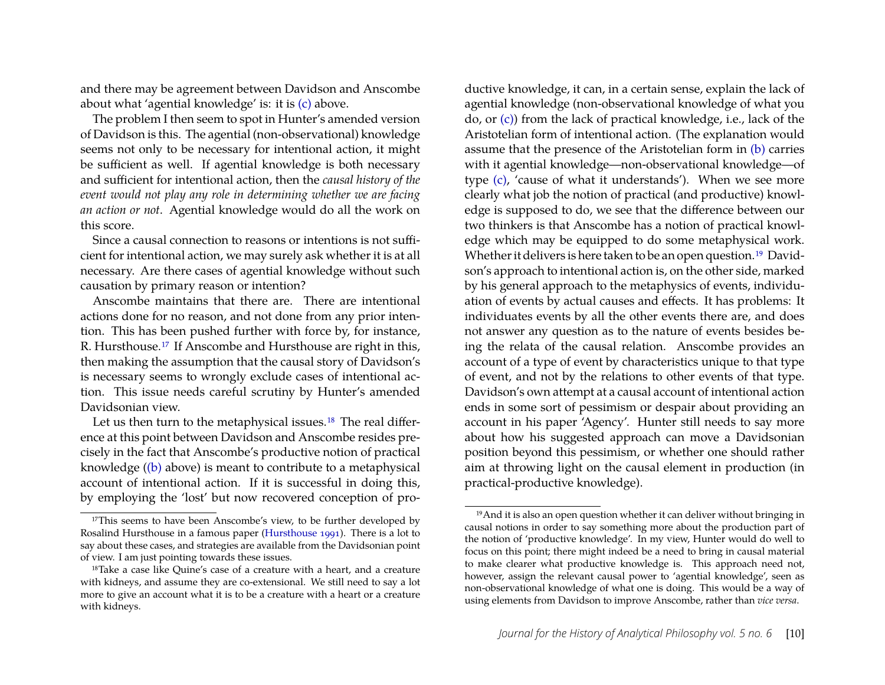and there may be agreement between Davidson and Anscombe about what 'agential knowledge' is: it is [\(c\)](#page-5-4) above.

The problem I then seem to spot in Hunter's amended version of Davidson is this. The agential (non-observational) knowledge seems not only to be necessary for intentional action, it might be sufficient as well. If agential knowledge is both necessary and sufficient for intentional action, then the *causal history of the event would not play any role in determining whether we are facing an action or not*. Agential knowledge would do all the work on this score.

Since a causal connection to reasons or intentions is not sufficient for intentional action, we may surely ask whether it is at all necessary. Are there cases of agential knowledge without such causation by primary reason or intention?

Anscombe maintains that there are. There are intentional actions done for no reason, and not done from any prior intention. This has been pushed further with force by, for instance, R. Hursthouse.[17](#page-10-0) If Anscombe and Hursthouse are right in this, then making the assumption that the causal story of Davidson's is necessary seems to wrongly exclude cases of intentional action. This issue needs careful scrutiny by Hunter's amended Davidsonian view.

Let us then turn to the metaphysical issues.<sup>[18](#page-10-1)</sup> The real difference at this point between Davidson and Anscombe resides precisely in the fact that Anscombe's productive notion of practical knowledge [\(\(b\)](#page-5-3) above) is meant to contribute to a metaphysical account of intentional action. If it is successful in doing this, by employing the 'lost' but now recovered conception of pro-

ductive knowledge, it can, in a certain sense, explain the lack of agential knowledge (non-observational knowledge of what you do, or [\(c\)\)](#page-5-4) from the lack of practical knowledge, i.e., lack of the Aristotelian form of intentional action. (The explanation would assume that the presence of the Aristotelian form in [\(b\)](#page-5-3) carries with it agential knowledge—non-observational knowledge—of type [\(c\),](#page-5-4) 'cause of what it understands'). When we see more clearly what job the notion of practical (and productive) knowledge is supposed to do, we see that the difference between our two thinkers is that Anscombe has a notion of practical knowledge which may be equipped to do some metaphysical work. Whether it delivers is here taken to be an open question.<sup>[19](#page-10-2)</sup> Davidson's approach to intentional action is, on the other side, marked by his general approach to the metaphysics of events, individuation of events by actual causes and effects. It has problems: It individuates events by all the other events there are, and does not answer any question as to the nature of events besides being the relata of the causal relation. Anscombe provides an account of a type of event by characteristics unique to that type of event, and not by the relations to other events of that type. Davidson's own attempt at a causal account of intentional action ends in some sort of pessimism or despair about providing an account in his paper 'Agency'. Hunter still needs to say more about how his suggested approach can move a Davidsonian position beyond this pessimism, or whether one should rather aim at throwing light on the causal element in production (in practical-productive knowledge).

<span id="page-10-0"></span><sup>&</sup>lt;sup>17</sup>This seems to have been Anscombe's view, to be further developed by Rosalind Hursthouse in a famous paper [\(Hursthouse 1991\)](#page-11-6). There is a lot to say about these cases, and strategies are available from the Davidsonian point of view. I am just pointing towards these issues.

<span id="page-10-1"></span><sup>&</sup>lt;sup>18</sup>Take a case like Quine's case of a creature with a heart, and a creature with kidneys, and assume they are co-extensional. We still need to say a lot more to give an account what it is to be a creature with a heart or a creature with kidneys.

<span id="page-10-2"></span><sup>19</sup>And it is also an open question whether it can deliver without bringing in causal notions in order to say something more about the production part of the notion of 'productive knowledge'. In my view, Hunter would do well to focus on this point; there might indeed be a need to bring in causal material to make clearer what productive knowledge is. This approach need not, however, assign the relevant causal power to 'agential knowledge', seen as non-observational knowledge of what one is doing. This would be a way of using elements from Davidson to improve Anscombe, rather than *vice versa*.